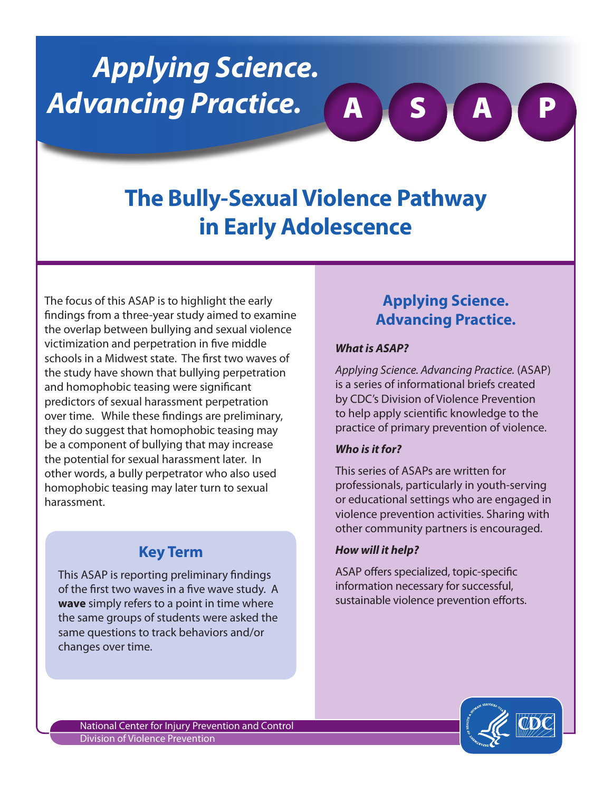# *Applying Science. Advancing Practice.*

# **The Bully-Sexual Violence Pathway in Early Adolescence**

The focus of this ASAP is to highlight the early findings from a three-year study aimed to examine the overlap between bullying and sexual violence victimization and perpetration in five middle schools in a Midwest state. The first two waves of the study have shown that bullying perpetration and homophobic teasing were significant predictors of sexual harassment perpetration over time. While these findings are preliminary, they do suggest that homophobic teasing may be a component of bullying that may increase the potential for sexual harassment later. In other words, a bully perpetrator who also used homophobic teasing may later turn to sexual harassment.

# **Key Term**

This ASAP is reporting preliminary findings of the first two waves in a five wave study. A **wave** simply refers to a point in time where the same groups of students were asked the same questions to track behaviors and/or changes over time.

# **Applying Science. Advancing Practice.**

A S A P

#### *What is ASAP?*

*Applying Science. Advancing Practice.* (ASAP) is a series of informational briefs created by CDC's Division of Violence Prevention to help apply scientific knowledge to the practice of primary prevention of violence.

#### *Who is it for?*

This series of ASAPs are written for professionals, particularly in youth-serving or educational settings who are engaged in violence prevention activities. Sharing with other community partners is encouraged.

#### *How will it help?*

ASAP offers specialized, topic-specific information necessary for successful, sustainable violence prevention efforts.

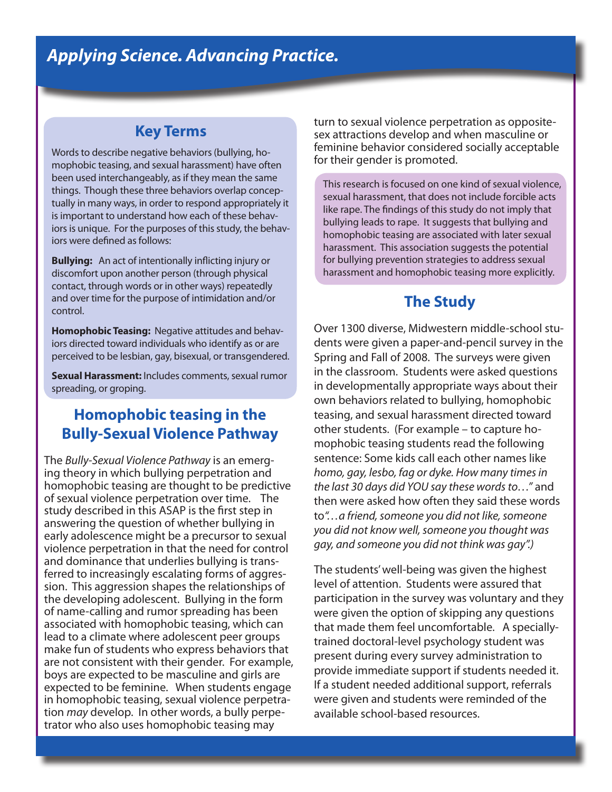#### **Key Terms**

Words to describe negative behaviors (bullying, homophobic teasing, and sexual harassment) have often been used interchangeably, as if they mean the same things. Though these three behaviors overlap conceptually in many ways, in order to respond appropriately it is important to understand how each of these behaviors is unique. For the purposes of this study, the behaviors were defined as follows:

**Bullying:** An act of intentionally inflicting injury or discomfort upon another person (through physical contact, through words or in other ways) repeatedly and over time for the purpose of intimidation and/or control.

**Homophobic Teasing:** Negative attitudes and behaviors directed toward individuals who identify as or are perceived to be lesbian, gay, bisexual, or transgendered.

**Sexual Harassment:** Includes comments, sexual rumor spreading, or groping.

## **Homophobic teasing in the Bully-Sexual Violence Pathway**

The *Bully-Sexual Violence Pathway* is an emerging theory in which bullying perpetration and homophobic teasing are thought to be predictive of sexual violence perpetration over time. The study described in this ASAP is the first step in answering the question of whether bullying in early adolescence might be a precursor to sexual violence perpetration in that the need for control and dominance that underlies bullying is transferred to increasingly escalating forms of aggression. This aggression shapes the relationships of the developing adolescent. Bullying in the form of name-calling and rumor spreading has been associated with homophobic teasing, which can lead to a climate where adolescent peer groups make fun of students who express behaviors that are not consistent with their gender. For example, boys are expected to be masculine and girls are expected to be feminine. When students engage in homophobic teasing, sexual violence perpetration *may* develop. In other words, a bully perpetrator who also uses homophobic teasing may

turn to sexual violence perpetration as oppositesex attractions develop and when masculine or feminine behavior considered socially acceptable for their gender is promoted.

This research is focused on one kind of sexual violence, sexual harassment, that does not include forcible acts like rape. The findings of this study do not imply that bullying leads to rape. It suggests that bullying and homophobic teasing are associated with later sexual harassment. This association suggests the potential for bullying prevention strategies to address sexual harassment and homophobic teasing more explicitly.

## **The Study**

Over 1300 diverse, Midwestern middle-school students were given a paper-and-pencil survey in the Spring and Fall of 2008. The surveys were given in the classroom. Students were asked questions in developmentally appropriate ways about their own behaviors related to bullying, homophobic teasing, and sexual harassment directed toward other students. (For example – to capture homophobic teasing students read the following sentence: Some kids call each other names like *homo, gay, lesbo, fag or dyke. How many times in the last 30 days did YOU say these words to…"* and then were asked how often they said these words to*"…a friend, someone you did not like, someone you did not know well, someone you thought was gay, and someone you did not think was gay".)* 

The students' well-being was given the highest level of attention. Students were assured that participation in the survey was voluntary and they were given the option of skipping any questions that made them feel uncomfortable. A speciallytrained doctoral-level psychology student was present during every survey administration to provide immediate support if students needed it. If a student needed additional support, referrals were given and students were reminded of the available school-based resources.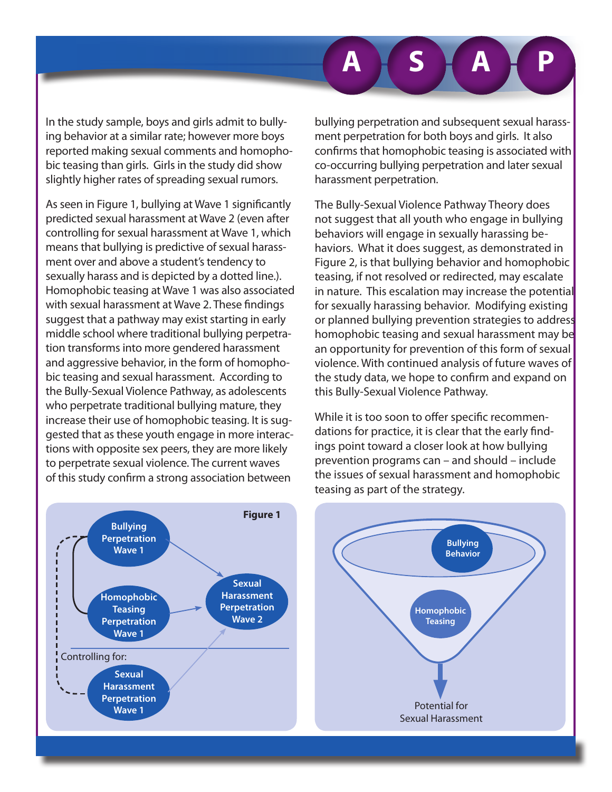In the study sample, boys and girls admit to bullying behavior at a similar rate; however more boys reported making sexual comments and homophobic teasing than girls. Girls in the study did show slightly higher rates of spreading sexual rumors.

As seen in Figure 1, bullying at Wave 1 significantly predicted sexual harassment at Wave 2 (even after controlling for sexual harassment at Wave 1, which means that bullying is predictive of sexual harassment over and above a student's tendency to sexually harass and is depicted by a dotted line.). Homophobic teasing at Wave 1 was also associated with sexual harassment at Wave 2. These findings suggest that a pathway may exist starting in early middle school where traditional bullying perpetration transforms into more gendered harassment and aggressive behavior, in the form of homophobic teasing and sexual harassment. According to the Bully-Sexual Violence Pathway, as adolescents who perpetrate traditional bullying mature, they increase their use of homophobic teasing. It is suggested that as these youth engage in more interactions with opposite sex peers, they are more likely to perpetrate sexual violence. The current waves of this study confirm a strong association between

bullying perpetration and subsequent sexual harassment perpetration for both boys and girls. It also confirms that homophobic teasing is associated with co-occurring bullying perpetration and later sexual harassment perpetration.

The Bully-Sexual Violence Pathway Theory does not suggest that all youth who engage in bullying behaviors will engage in sexually harassing behaviors. What it does suggest, as demonstrated in Figure 2, is that bullying behavior and homophobic teasing, if not resolved or redirected, may escalate in nature. This escalation may increase the potential for sexually harassing behavior. Modifying existing or planned bullying prevention strategies to address homophobic teasing and sexual harassment may be an opportunity for prevention of this form of sexual violence. With continued analysis of future waves of the study data, we hope to confirm and expand on this Bully-Sexual Violence Pathway.

While it is too soon to offer specific recommendations for practice, it is clear that the early findings point toward a closer look at how bullying prevention programs can – and should – include the issues of sexual harassment and homophobic teasing as part of the strategy.





**A S A P**